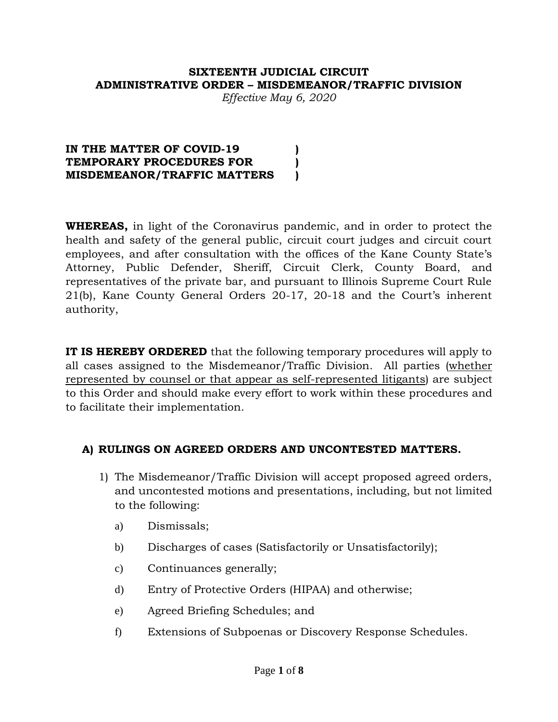### **SIXTEENTH JUDICIAL CIRCUIT ADMINISTRATIVE ORDER – MISDEMEANOR/TRAFFIC DIVISION**

*Effective May 6, 2020*

#### **IN THE MATTER OF COVID-19 ) TEMPORARY PROCEDURES FOR ) MISDEMEANOR/TRAFFIC MATTERS )**

**WHEREAS,** in light of the Coronavirus pandemic, and in order to protect the health and safety of the general public, circuit court judges and circuit court employees, and after consultation with the offices of the Kane County State's Attorney, Public Defender, Sheriff, Circuit Clerk, County Board, and representatives of the private bar, and pursuant to Illinois Supreme Court Rule 21(b), Kane County General Orders 20-17, 20-18 and the Court's inherent authority,

**IT IS HEREBY ORDERED** that the following temporary procedures will apply to all cases assigned to the Misdemeanor/Traffic Division. All parties (whether represented by counsel or that appear as self-represented litigants) are subject to this Order and should make every effort to work within these procedures and to facilitate their implementation.

## **A) RULINGS ON AGREED ORDERS AND UNCONTESTED MATTERS.**

- 1) The Misdemeanor/Traffic Division will accept proposed agreed orders, and uncontested motions and presentations, including, but not limited to the following:
	- a) Dismissals;
	- b) Discharges of cases (Satisfactorily or Unsatisfactorily);
	- c) Continuances generally;
	- d) Entry of Protective Orders (HIPAA) and otherwise;
	- e) Agreed Briefing Schedules; and
	- f) Extensions of Subpoenas or Discovery Response Schedules.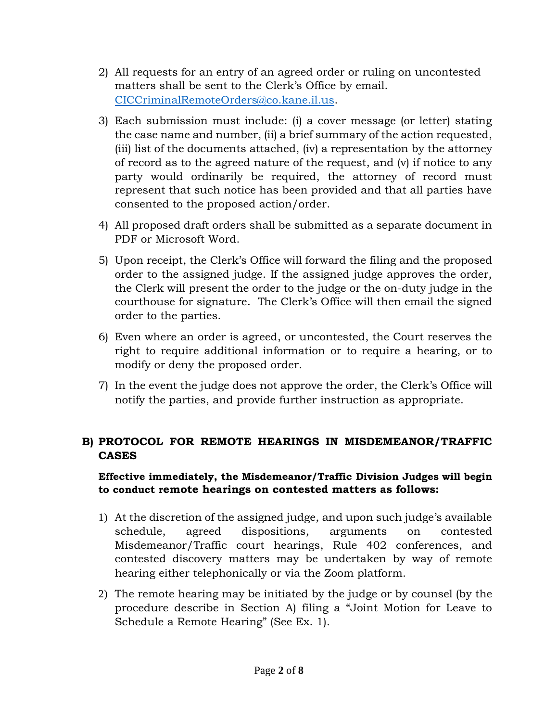- 2) All requests for an entry of an agreed order or ruling on uncontested matters shall be sent to the Clerk's Office by email. [CICCriminalRemoteOrders@co.kane.il.us.](mailto:CICCriminalRemoteOrders@co.kane.il.us)
- 3) Each submission must include: (i) a cover message (or letter) stating the case name and number, (ii) a brief summary of the action requested, (iii) list of the documents attached, (iv) a representation by the attorney of record as to the agreed nature of the request, and (v) if notice to any party would ordinarily be required, the attorney of record must represent that such notice has been provided and that all parties have consented to the proposed action/order.
- 4) All proposed draft orders shall be submitted as a separate document in PDF or Microsoft Word.
- 5) Upon receipt, the Clerk's Office will forward the filing and the proposed order to the assigned judge. If the assigned judge approves the order, the Clerk will present the order to the judge or the on-duty judge in the courthouse for signature. The Clerk's Office will then email the signed order to the parties.
- 6) Even where an order is agreed, or uncontested, the Court reserves the right to require additional information or to require a hearing, or to modify or deny the proposed order.
- 7) In the event the judge does not approve the order, the Clerk's Office will notify the parties, and provide further instruction as appropriate.

# **B) PROTOCOL FOR REMOTE HEARINGS IN MISDEMEANOR/TRAFFIC CASES**

# **Effective immediately, the Misdemeanor/Traffic Division Judges will begin to conduct remote hearings on contested matters as follows:**

- 1) At the discretion of the assigned judge, and upon such judge's available schedule, agreed dispositions, arguments on contested Misdemeanor/Traffic court hearings, Rule 402 conferences, and contested discovery matters may be undertaken by way of remote hearing either telephonically or via the Zoom platform.
- 2) The remote hearing may be initiated by the judge or by counsel (by the procedure describe in Section A) filing a "Joint Motion for Leave to Schedule a Remote Hearing" (See Ex. 1).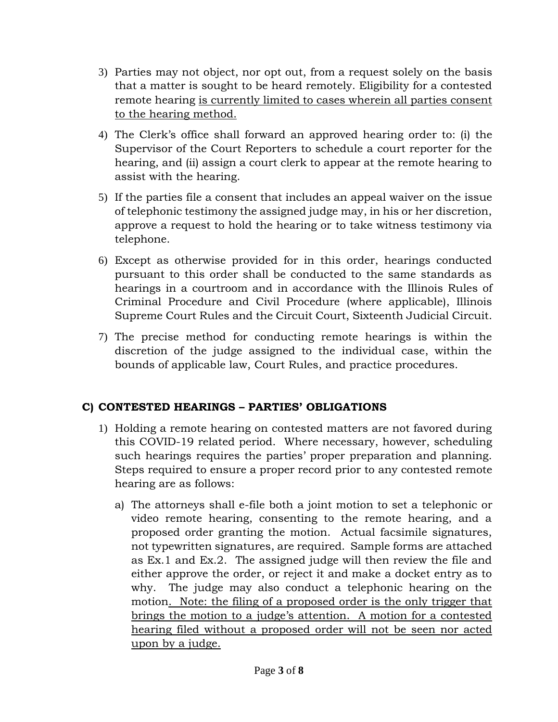- 3) Parties may not object, nor opt out, from a request solely on the basis that a matter is sought to be heard remotely. Eligibility for a contested remote hearing is currently limited to cases wherein all parties consent to the hearing method.
- 4) The Clerk's office shall forward an approved hearing order to: (i) the Supervisor of the Court Reporters to schedule a court reporter for the hearing, and (ii) assign a court clerk to appear at the remote hearing to assist with the hearing.
- 5) If the parties file a consent that includes an appeal waiver on the issue of telephonic testimony the assigned judge may, in his or her discretion, approve a request to hold the hearing or to take witness testimony via telephone.
- 6) Except as otherwise provided for in this order, hearings conducted pursuant to this order shall be conducted to the same standards as hearings in a courtroom and in accordance with the Illinois Rules of Criminal Procedure and Civil Procedure (where applicable), Illinois Supreme Court Rules and the Circuit Court, Sixteenth Judicial Circuit.
- 7) The precise method for conducting remote hearings is within the discretion of the judge assigned to the individual case, within the bounds of applicable law, Court Rules, and practice procedures.

# **C) CONTESTED HEARINGS – PARTIES' OBLIGATIONS**

- 1) Holding a remote hearing on contested matters are not favored during this COVID-19 related period. Where necessary, however, scheduling such hearings requires the parties' proper preparation and planning. Steps required to ensure a proper record prior to any contested remote hearing are as follows:
	- a) The attorneys shall e-file both a joint motion to set a telephonic or video remote hearing, consenting to the remote hearing, and a proposed order granting the motion. Actual facsimile signatures, not typewritten signatures, are required. Sample forms are attached as Ex.1 and Ex.2. The assigned judge will then review the file and either approve the order, or reject it and make a docket entry as to why. The judge may also conduct a telephonic hearing on the motion. Note: the filing of a proposed order is the only trigger that brings the motion to a judge's attention. A motion for a contested hearing filed without a proposed order will not be seen nor acted upon by a judge.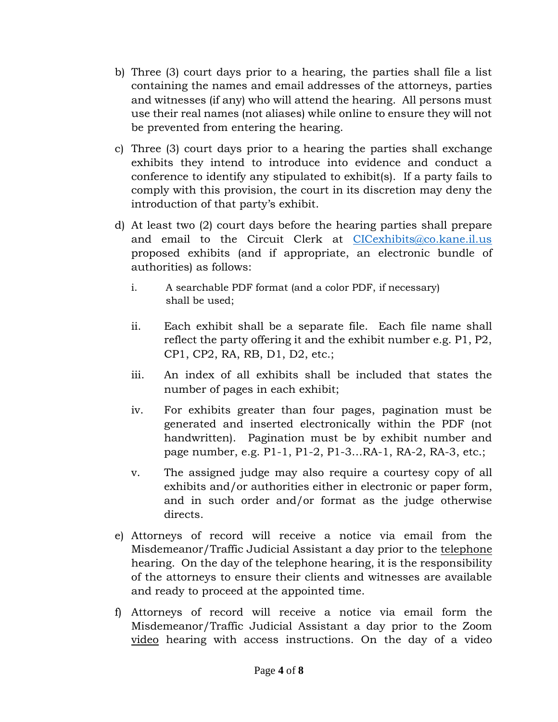- b) Three (3) court days prior to a hearing, the parties shall file a list containing the names and email addresses of the attorneys, parties and witnesses (if any) who will attend the hearing. All persons must use their real names (not aliases) while online to ensure they will not be prevented from entering the hearing.
- c) Three (3) court days prior to a hearing the parties shall exchange exhibits they intend to introduce into evidence and conduct a conference to identify any stipulated to exhibit(s). If a party fails to comply with this provision, the court in its discretion may deny the introduction of that party's exhibit.
- d) At least two (2) court days before the hearing parties shall prepare and email to the Circuit Clerk at [CICexhibits@co.kane.il.us](mailto:CICexhibits@co.kane.il.us) proposed exhibits (and if appropriate, an electronic bundle of authorities) as follows:
	- i. A searchable PDF format (and a color PDF, if necessary) shall be used;
	- ii. Each exhibit shall be a separate file. Each file name shall reflect the party offering it and the exhibit number e.g. P1, P2, CP1, CP2, RA, RB, D1, D2, etc.;
	- iii. An index of all exhibits shall be included that states the number of pages in each exhibit;
	- iv. For exhibits greater than four pages, pagination must be generated and inserted electronically within the PDF (not handwritten). Pagination must be by exhibit number and page number, e.g. P1-1, P1-2, P1-3…RA-1, RA-2, RA-3, etc.;
	- v. The assigned judge may also require a courtesy copy of all exhibits and/or authorities either in electronic or paper form, and in such order and/or format as the judge otherwise directs.
- e) Attorneys of record will receive a notice via email from the Misdemeanor/Traffic Judicial Assistant a day prior to the telephone hearing. On the day of the telephone hearing, it is the responsibility of the attorneys to ensure their clients and witnesses are available and ready to proceed at the appointed time.
- f) Attorneys of record will receive a notice via email form the Misdemeanor/Traffic Judicial Assistant a day prior to the Zoom video hearing with access instructions. On the day of a video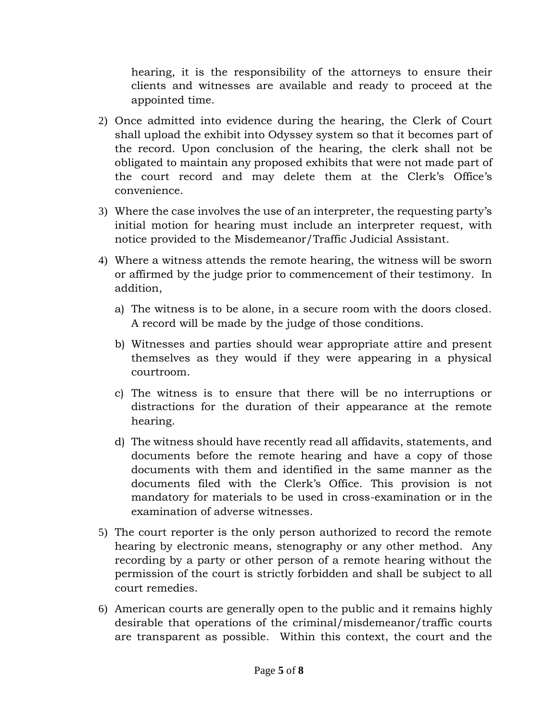hearing, it is the responsibility of the attorneys to ensure their clients and witnesses are available and ready to proceed at the appointed time.

- 2) Once admitted into evidence during the hearing, the Clerk of Court shall upload the exhibit into Odyssey system so that it becomes part of the record. Upon conclusion of the hearing, the clerk shall not be obligated to maintain any proposed exhibits that were not made part of the court record and may delete them at the Clerk's Office's convenience.
- 3) Where the case involves the use of an interpreter, the requesting party's initial motion for hearing must include an interpreter request, with notice provided to the Misdemeanor/Traffic Judicial Assistant.
- 4) Where a witness attends the remote hearing, the witness will be sworn or affirmed by the judge prior to commencement of their testimony. In addition,
	- a) The witness is to be alone, in a secure room with the doors closed. A record will be made by the judge of those conditions.
	- b) Witnesses and parties should wear appropriate attire and present themselves as they would if they were appearing in a physical courtroom.
	- c) The witness is to ensure that there will be no interruptions or distractions for the duration of their appearance at the remote hearing.
	- d) The witness should have recently read all affidavits, statements, and documents before the remote hearing and have a copy of those documents with them and identified in the same manner as the documents filed with the Clerk's Office. This provision is not mandatory for materials to be used in cross-examination or in the examination of adverse witnesses.
- 5) The court reporter is the only person authorized to record the remote hearing by electronic means, stenography or any other method. Any recording by a party or other person of a remote hearing without the permission of the court is strictly forbidden and shall be subject to all court remedies.
- 6) American courts are generally open to the public and it remains highly desirable that operations of the criminal/misdemeanor/traffic courts are transparent as possible. Within this context, the court and the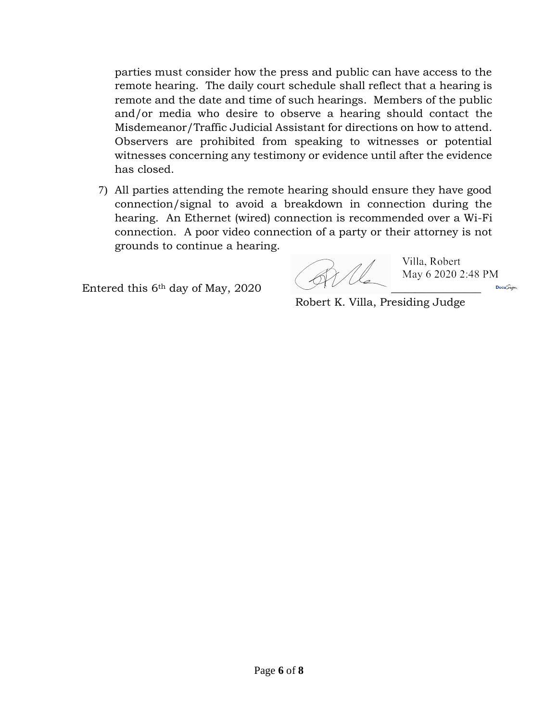parties must consider how the press and public can have access to the remote hearing. The daily court schedule shall reflect that a hearing is remote and the date and time of such hearings. Members of the public and/or media who desire to observe a hearing should contact the Misdemeanor/Traffic Judicial Assistant for directions on how to attend. Observers are prohibited from speaking to witnesses or potential witnesses concerning any testimony or evidence until after the evidence has closed.

7) All parties attending the remote hearing should ensure they have good connection/signal to avoid a breakdown in connection during the hearing. An Ethernet (wired) connection is recommended over a Wi-Fi connection. A poor video connection of a party or their attorney is not grounds to continue a hearing.

Entered this  $6<sup>th</sup>$  day of May, 2020

Villa, Robert May 6 2020 2:48 PM

**Docu**Sign

Robert K. Villa, Presiding Judge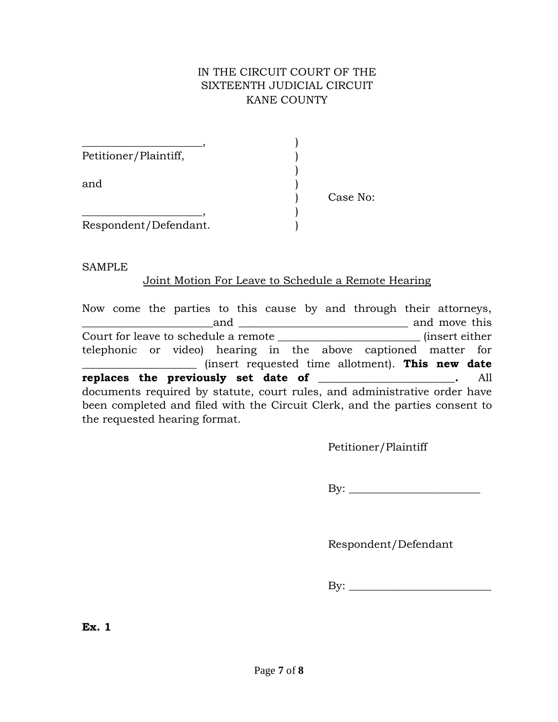# IN THE CIRCUIT COURT OF THE SIXTEENTH JUDICIAL CIRCUIT KANE COUNTY

| Petitioner/Plaintiff, |          |
|-----------------------|----------|
|                       |          |
| and                   |          |
|                       | Case No: |
|                       |          |
| Respondent/Defendant. |          |

SAMPLE

### Joint Motion For Leave to Schedule a Remote Hearing

| Now come the parties to this cause by and through their attorneys,          |
|-----------------------------------------------------------------------------|
| and move this<br>and                                                        |
|                                                                             |
| telephonic or video) hearing in the above captioned matter for              |
| $\mu$ (insert requested time allotment). This new date                      |
| replaces the previously set date of ________________.<br>All                |
| documents required by statute, court rules, and administrative order have   |
|                                                                             |
| been completed and filed with the Circuit Clerk, and the parties consent to |

Petitioner/Plaintiff

By: \_\_\_\_\_\_\_\_\_\_\_\_\_\_\_\_\_\_\_\_\_\_\_\_

Respondent/Defendant

By: \_\_\_\_\_\_\_\_\_\_\_\_\_\_\_\_\_\_\_\_\_\_\_\_\_\_

**Ex. 1**